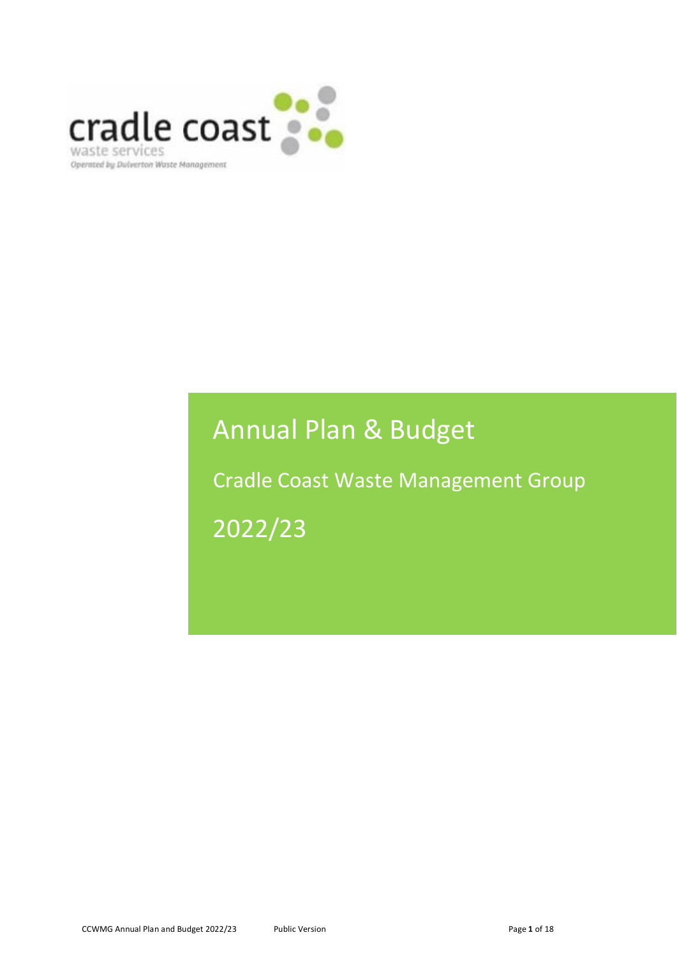

# Annual Plan & Budget

Cradle Coast Waste Management Group 2022/23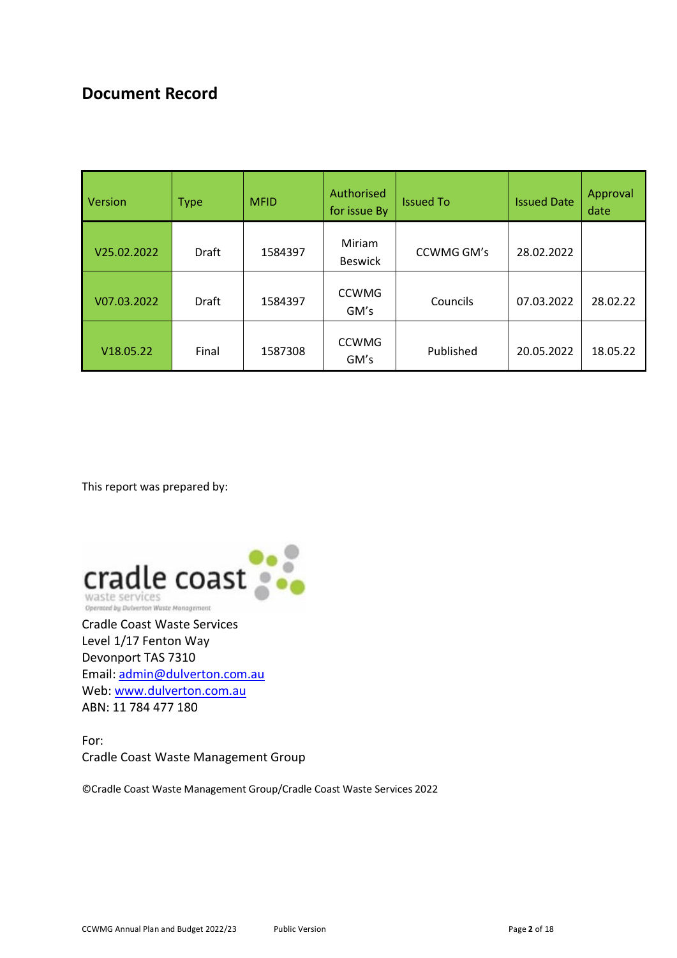# **Document Record**

| Version     | <b>Type</b> | <b>MFID</b> | Authorised<br>for issue By | <b>Issued To</b> | <b>Issued Date</b> | Approval<br>date |
|-------------|-------------|-------------|----------------------------|------------------|--------------------|------------------|
| V25.02.2022 | Draft       | 1584397     | Miriam<br><b>Beswick</b>   | CCWMG GM's       | 28.02.2022         |                  |
| V07.03.2022 | Draft       | 1584397     | <b>CCWMG</b><br>GM's       | Councils         | 07.03.2022         | 28.02.22         |
| V18.05.22   | Final       | 1587308     | <b>CCWMG</b><br>GM's       | Published        | 20.05.2022         | 18.05.22         |

This report was prepared by:



Cradle Coast Waste Services Level 1/17 Fenton Way Devonport TAS 7310 Email: admin@dulverton.com.au Web: www.dulverton.com.au ABN: 11 784 477 180

For: Cradle Coast Waste Management Group

©Cradle Coast Waste Management Group/Cradle Coast Waste Services 2022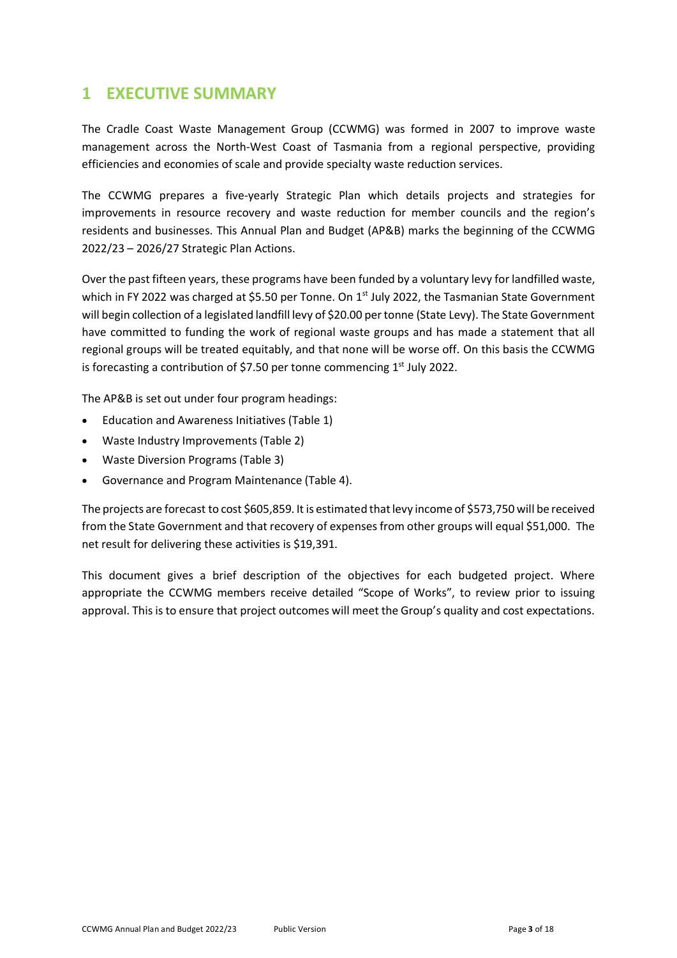### **1 EXECUTIVE SUMMARY**

The Cradle Coast Waste Management Group (CCWMG) was formed in 2007 to improve waste management across the North-West Coast of Tasmania from a regional perspective, providing efficiencies and economies of scale and provide specialty waste reduction services.

The CCWMG prepares a five-yearly Strategic Plan which details projects and strategies for improvements in resource recovery and waste reduction for member councils and the region's residents and businesses. This Annual Plan and Budget (AP&B) marks the beginning of the CCWMG 2022/23 – 2026/27 Strategic Plan Actions.

Over the past fifteen years, these programs have been funded by a voluntary levy for landfilled waste, which in FY 2022 was charged at \$5.50 per Tonne. On 1<sup>st</sup> July 2022, the Tasmanian State Government will begin collection of a legislated landfill levy of \$20.00 per tonne (State Levy). The State Government have committed to funding the work of regional waste groups and has made a statement that all regional groups will be treated equitably, and that none will be worse off. On this basis the CCWMG is forecasting a contribution of \$7.50 per tonne commencing  $1<sup>st</sup>$  July 2022.

The AP&B is set out under four program headings:

- Education and Awareness Initiatives (Table 1)
- Waste Industry Improvements (Table 2)
- Waste Diversion Programs (Table 3)
- Governance and Program Maintenance (Table 4).

The projects are forecast to cost \$605,859. It is estimated that levy income of \$573,750 will be received from the State Government and that recovery of expenses from other groups will equal \$51,000. The net result for delivering these activities is \$19,391.

This document gives a brief description of the objectives for each budgeted project. Where appropriate the CCWMG members receive detailed "Scope of Works", to review prior to issuing approval. This is to ensure that project outcomes will meet the Group's quality and cost expectations.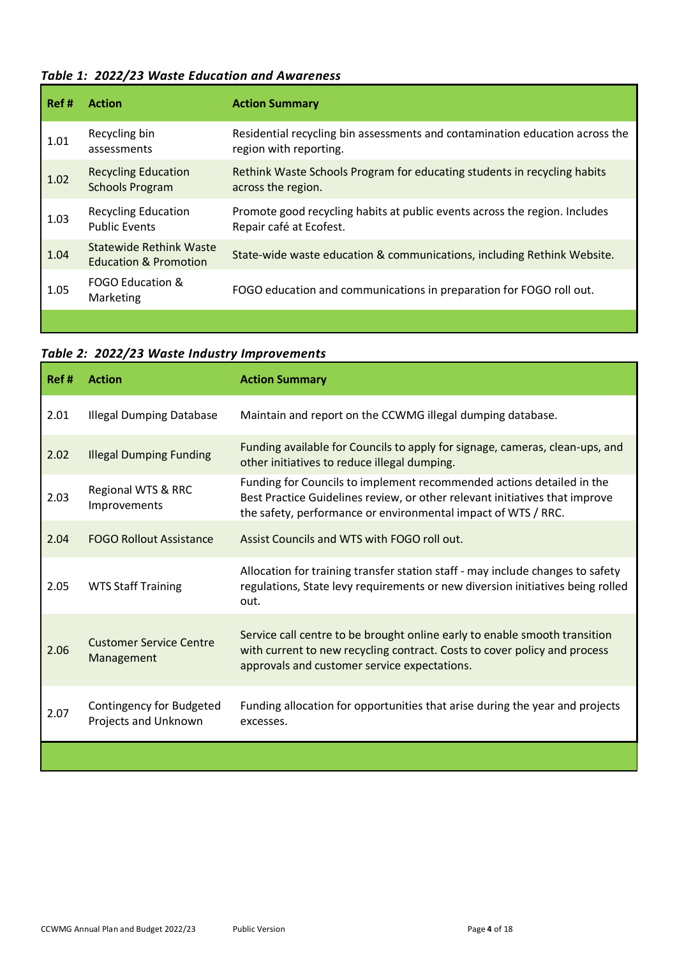### *Table 1: 2022/23 Waste Education and Awareness*

| Ref # | <b>Action</b>                                                      | <b>Action Summary</b>                                                                                  |
|-------|--------------------------------------------------------------------|--------------------------------------------------------------------------------------------------------|
| 1.01  | Recycling bin<br>assessments                                       | Residential recycling bin assessments and contamination education across the<br>region with reporting. |
| 1.02  | <b>Recycling Education</b><br><b>Schools Program</b>               | Rethink Waste Schools Program for educating students in recycling habits<br>across the region.         |
| 1.03  | <b>Recycling Education</b><br><b>Public Events</b>                 | Promote good recycling habits at public events across the region. Includes<br>Repair café at Ecofest.  |
| 1.04  | <b>Statewide Rethink Waste</b><br><b>Education &amp; Promotion</b> | State-wide waste education & communications, including Rethink Website.                                |
| 1.05  | FOGO Education &<br>Marketing                                      | FOGO education and communications in preparation for FOGO roll out.                                    |
|       |                                                                    |                                                                                                        |

|  |  | Table 2: 2022/23 Waste Industry Improvements |  |
|--|--|----------------------------------------------|--|
|--|--|----------------------------------------------|--|

| Ref# | <b>Action</b>                                    | <b>Action Summary</b>                                                                                                                                                                                                 |
|------|--------------------------------------------------|-----------------------------------------------------------------------------------------------------------------------------------------------------------------------------------------------------------------------|
| 2.01 | <b>Illegal Dumping Database</b>                  | Maintain and report on the CCWMG illegal dumping database.                                                                                                                                                            |
| 2.02 | <b>Illegal Dumping Funding</b>                   | Funding available for Councils to apply for signage, cameras, clean-ups, and<br>other initiatives to reduce illegal dumping.                                                                                          |
| 2.03 | Regional WTS & RRC<br>Improvements               | Funding for Councils to implement recommended actions detailed in the<br>Best Practice Guidelines review, or other relevant initiatives that improve<br>the safety, performance or environmental impact of WTS / RRC. |
| 2.04 | <b>FOGO Rollout Assistance</b>                   | Assist Councils and WTS with FOGO roll out.                                                                                                                                                                           |
| 2.05 | <b>WTS Staff Training</b>                        | Allocation for training transfer station staff - may include changes to safety<br>regulations, State levy requirements or new diversion initiatives being rolled<br>out.                                              |
| 2.06 | <b>Customer Service Centre</b><br>Management     | Service call centre to be brought online early to enable smooth transition<br>with current to new recycling contract. Costs to cover policy and process<br>approvals and customer service expectations.               |
| 2.07 | Contingency for Budgeted<br>Projects and Unknown | Funding allocation for opportunities that arise during the year and projects<br>excesses.                                                                                                                             |
|      |                                                  |                                                                                                                                                                                                                       |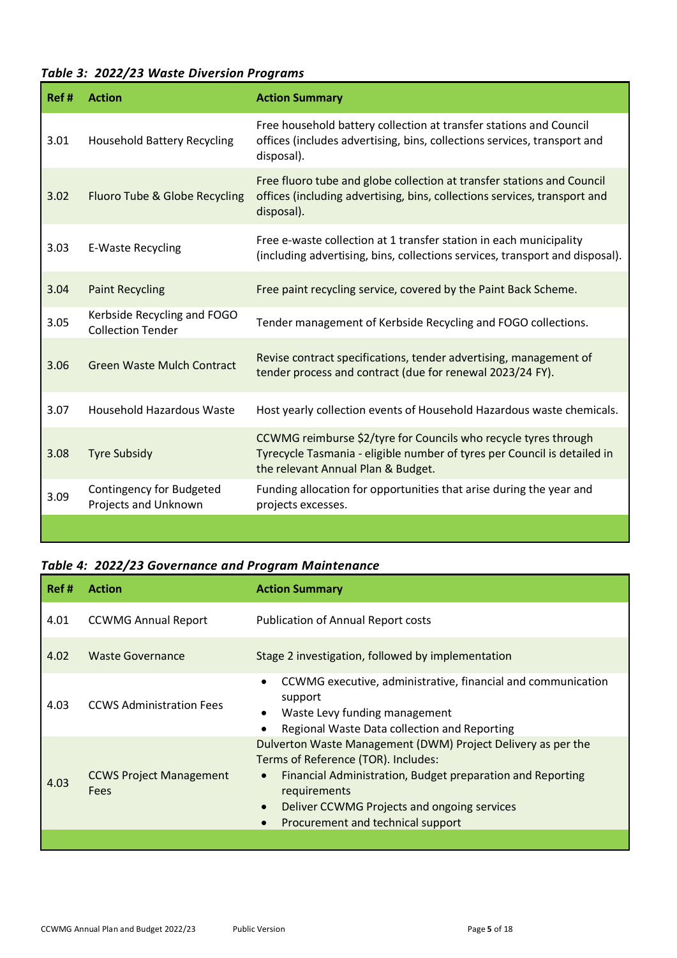### *Table 3: 2022/23 Waste Diversion Programs*

| Ref# | <b>Action</b>                                           | <b>Action Summary</b>                                                                                                                                                             |
|------|---------------------------------------------------------|-----------------------------------------------------------------------------------------------------------------------------------------------------------------------------------|
| 3.01 | <b>Household Battery Recycling</b>                      | Free household battery collection at transfer stations and Council<br>offices (includes advertising, bins, collections services, transport and<br>disposal).                      |
| 3.02 | Fluoro Tube & Globe Recycling                           | Free fluoro tube and globe collection at transfer stations and Council<br>offices (including advertising, bins, collections services, transport and<br>disposal).                 |
| 3.03 | E-Waste Recycling                                       | Free e-waste collection at 1 transfer station in each municipality<br>(including advertising, bins, collections services, transport and disposal).                                |
| 3.04 | <b>Paint Recycling</b>                                  | Free paint recycling service, covered by the Paint Back Scheme.                                                                                                                   |
| 3.05 | Kerbside Recycling and FOGO<br><b>Collection Tender</b> | Tender management of Kerbside Recycling and FOGO collections.                                                                                                                     |
| 3.06 | <b>Green Waste Mulch Contract</b>                       | Revise contract specifications, tender advertising, management of<br>tender process and contract (due for renewal 2023/24 FY).                                                    |
| 3.07 | Household Hazardous Waste                               | Host yearly collection events of Household Hazardous waste chemicals.                                                                                                             |
| 3.08 | <b>Tyre Subsidy</b>                                     | CCWMG reimburse \$2/tyre for Councils who recycle tyres through<br>Tyrecycle Tasmania - eligible number of tyres per Council is detailed in<br>the relevant Annual Plan & Budget. |
| 3.09 | <b>Contingency for Budgeted</b><br>Projects and Unknown | Funding allocation for opportunities that arise during the year and<br>projects excesses.                                                                                         |
|      |                                                         |                                                                                                                                                                                   |

#### *Table 4: 2022/23 Governance and Program Maintenance*

| Ref # | <b>Action</b>                          | <b>Action Summary</b>                                                                                                                                                                                                                                                                                        |
|-------|----------------------------------------|--------------------------------------------------------------------------------------------------------------------------------------------------------------------------------------------------------------------------------------------------------------------------------------------------------------|
| 4.01  | <b>CCWMG Annual Report</b>             | <b>Publication of Annual Report costs</b>                                                                                                                                                                                                                                                                    |
| 4.02  | <b>Waste Governance</b>                | Stage 2 investigation, followed by implementation                                                                                                                                                                                                                                                            |
| 4.03  | <b>CCWS Administration Fees</b>        | CCWMG executive, administrative, financial and communication<br>٠<br>support<br>Waste Levy funding management<br>٠<br>Regional Waste Data collection and Reporting                                                                                                                                           |
| 4.03  | <b>CCWS Project Management</b><br>Fees | Dulverton Waste Management (DWM) Project Delivery as per the<br>Terms of Reference (TOR). Includes:<br>Financial Administration, Budget preparation and Reporting<br>$\bullet$<br>requirements<br>Deliver CCWMG Projects and ongoing services<br>$\bullet$<br>Procurement and technical support<br>$\bullet$ |
|       |                                        |                                                                                                                                                                                                                                                                                                              |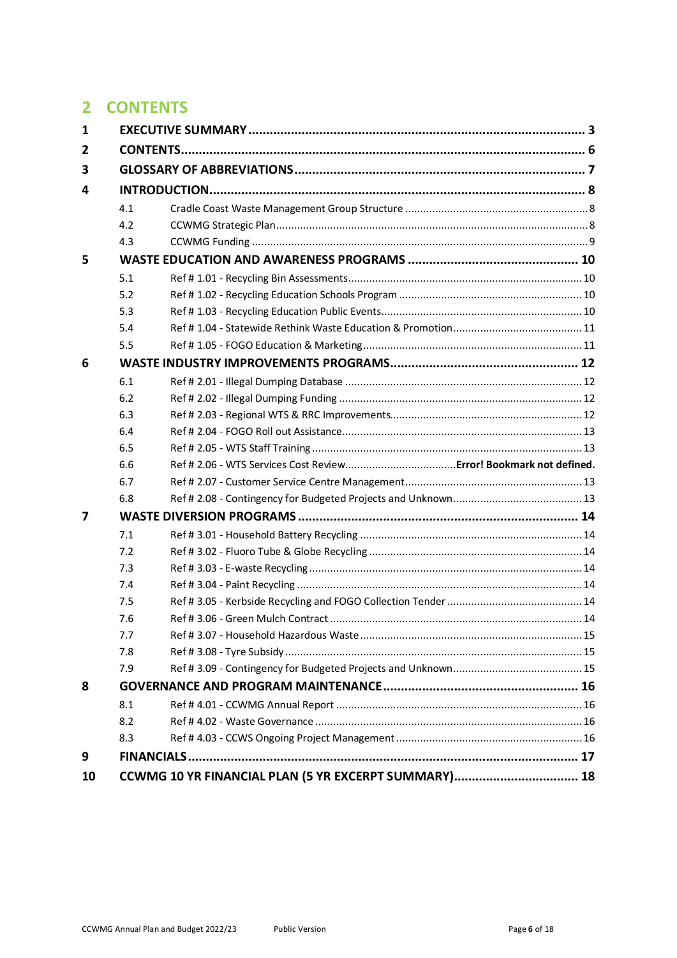# **2 CONTENTS**

| 1 |     |  |
|---|-----|--|
| 2 |     |  |
| 3 |     |  |
| 4 |     |  |
|   | 4.1 |  |
|   | 4.2 |  |
|   | 4.3 |  |
| 5 |     |  |
|   | 5.1 |  |
|   | 5.2 |  |
|   | 5.3 |  |
|   | 5.4 |  |
|   | 5.5 |  |
| 6 |     |  |
|   | 6.1 |  |
|   | 6.2 |  |
|   | 6.3 |  |
|   | 6.4 |  |
|   | 6.5 |  |
|   |     |  |
|   | 6.6 |  |
|   | 6.7 |  |
|   | 6.8 |  |
| 7 |     |  |
|   | 7.1 |  |
|   | 7.2 |  |
|   | 7.3 |  |
|   | 7.4 |  |
|   | 7.5 |  |
|   | 7.6 |  |
|   | 7.7 |  |
|   | 7.8 |  |
|   | 7.9 |  |
| 8 |     |  |
|   | 8.1 |  |
|   | 8.2 |  |
|   | 8.3 |  |
| 9 |     |  |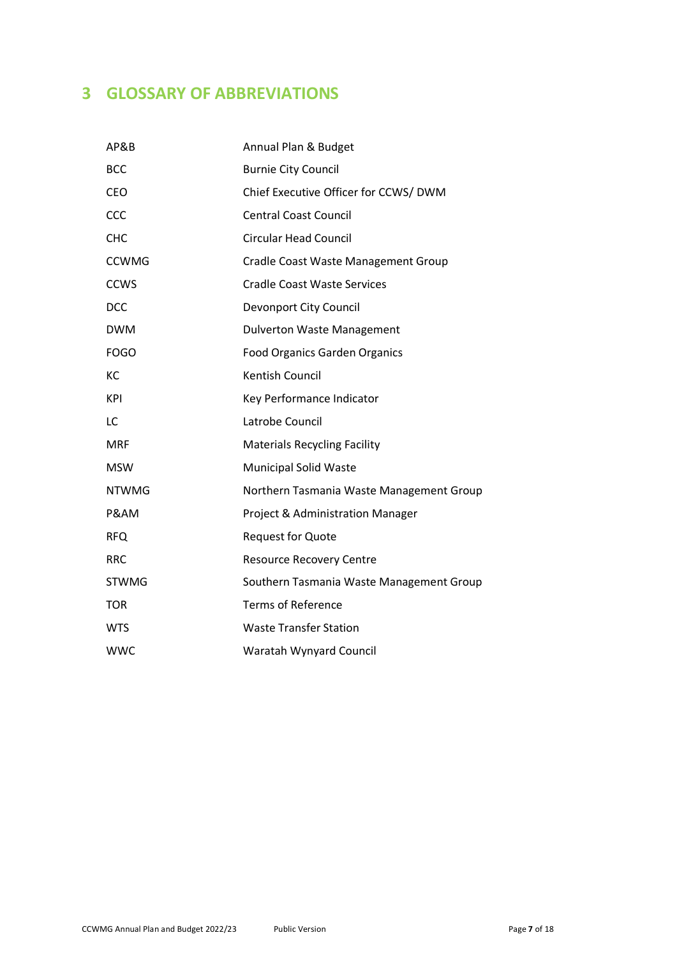# **3 GLOSSARY OF ABBREVIATIONS**

| AP&B         | Annual Plan & Budget                     |
|--------------|------------------------------------------|
| <b>BCC</b>   | <b>Burnie City Council</b>               |
| <b>CEO</b>   | Chief Executive Officer for CCWS/ DWM    |
| CCC          | <b>Central Coast Council</b>             |
| <b>CHC</b>   | <b>Circular Head Council</b>             |
| <b>CCWMG</b> | Cradle Coast Waste Management Group      |
| <b>CCWS</b>  | <b>Cradle Coast Waste Services</b>       |
| <b>DCC</b>   | Devonport City Council                   |
| <b>DWM</b>   | <b>Dulverton Waste Management</b>        |
| <b>FOGO</b>  | <b>Food Organics Garden Organics</b>     |
| KC           | <b>Kentish Council</b>                   |
| <b>KPI</b>   | Key Performance Indicator                |
| LC           | Latrobe Council                          |
| <b>MRF</b>   | <b>Materials Recycling Facility</b>      |
| <b>MSW</b>   | <b>Municipal Solid Waste</b>             |
| <b>NTWMG</b> | Northern Tasmania Waste Management Group |
| P&AM         | Project & Administration Manager         |
| <b>RFQ</b>   | <b>Request for Quote</b>                 |
| <b>RRC</b>   | <b>Resource Recovery Centre</b>          |
| <b>STWMG</b> | Southern Tasmania Waste Management Group |
| <b>TOR</b>   | <b>Terms of Reference</b>                |
| <b>WTS</b>   | <b>Waste Transfer Station</b>            |
| <b>WWC</b>   | Waratah Wynyard Council                  |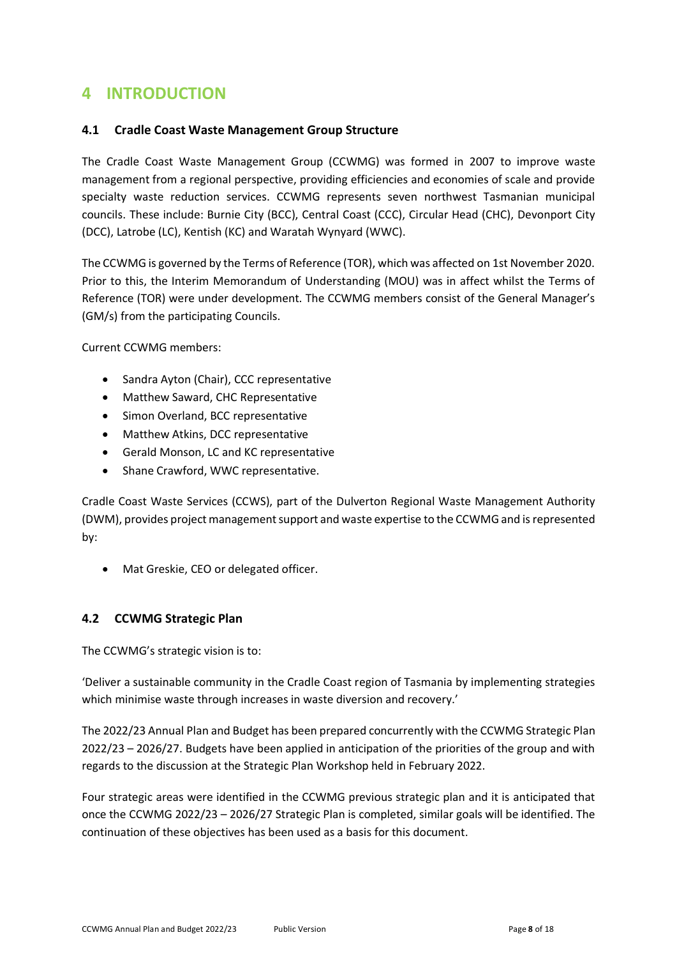### **4 INTRODUCTION**

#### **4.1 Cradle Coast Waste Management Group Structure**

The Cradle Coast Waste Management Group (CCWMG) was formed in 2007 to improve waste management from a regional perspective, providing efficiencies and economies of scale and provide specialty waste reduction services. CCWMG represents seven northwest Tasmanian municipal councils. These include: Burnie City (BCC), Central Coast (CCC), Circular Head (CHC), Devonport City (DCC), Latrobe (LC), Kentish (KC) and Waratah Wynyard (WWC).

The CCWMG is governed by the Terms of Reference (TOR), which was affected on 1st November 2020. Prior to this, the Interim Memorandum of Understanding (MOU) was in affect whilst the Terms of Reference (TOR) were under development. The CCWMG members consist of the General Manager's (GM/s) from the participating Councils.

Current CCWMG members:

- Sandra Ayton (Chair), CCC representative
- Matthew Saward, CHC Representative
- Simon Overland, BCC representative
- Matthew Atkins, DCC representative
- Gerald Monson, LC and KC representative
- Shane Crawford, WWC representative.

Cradle Coast Waste Services (CCWS), part of the Dulverton Regional Waste Management Authority (DWM), provides project management support and waste expertise to the CCWMG and is represented by:

• Mat Greskie, CEO or delegated officer.

### **4.2 CCWMG Strategic Plan**

The CCWMG's strategic vision is to:

'Deliver a sustainable community in the Cradle Coast region of Tasmania by implementing strategies which minimise waste through increases in waste diversion and recovery.'

The 2022/23 Annual Plan and Budget has been prepared concurrently with the CCWMG Strategic Plan 2022/23 – 2026/27. Budgets have been applied in anticipation of the priorities of the group and with regards to the discussion at the Strategic Plan Workshop held in February 2022.

Four strategic areas were identified in the CCWMG previous strategic plan and it is anticipated that once the CCWMG 2022/23 – 2026/27 Strategic Plan is completed, similar goals will be identified. The continuation of these objectives has been used as a basis for this document.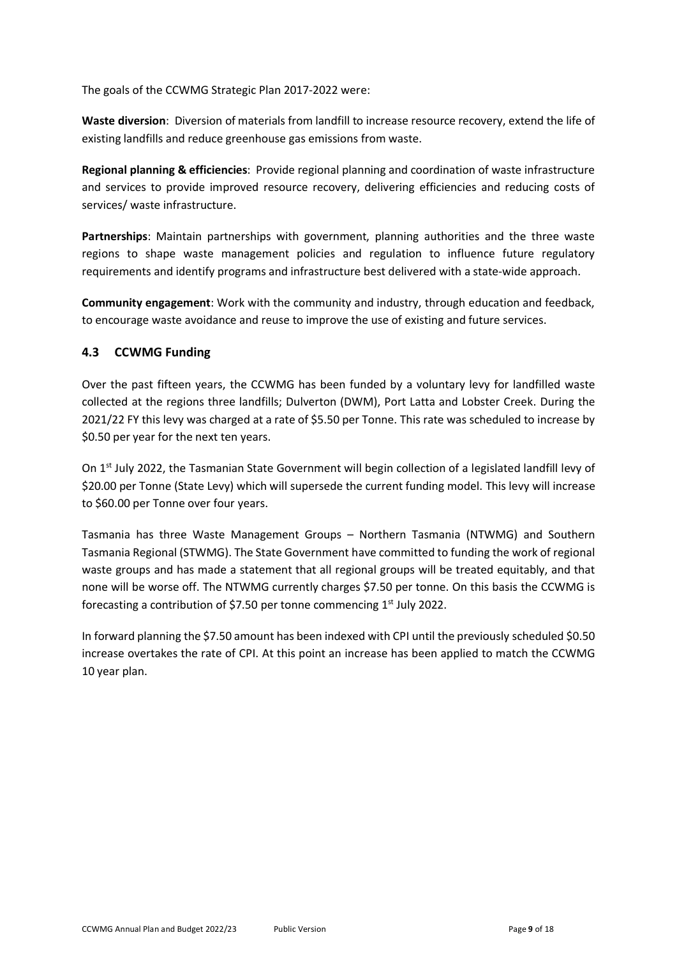The goals of the CCWMG Strategic Plan 2017-2022 were:

**Waste diversion**: Diversion of materials from landfill to increase resource recovery, extend the life of existing landfills and reduce greenhouse gas emissions from waste.

**Regional planning & efficiencies**: Provide regional planning and coordination of waste infrastructure and services to provide improved resource recovery, delivering efficiencies and reducing costs of services/ waste infrastructure.

**Partnerships**: Maintain partnerships with government, planning authorities and the three waste regions to shape waste management policies and regulation to influence future regulatory requirements and identify programs and infrastructure best delivered with a state-wide approach.

**Community engagement**: Work with the community and industry, through education and feedback, to encourage waste avoidance and reuse to improve the use of existing and future services.

### **4.3 CCWMG Funding**

Over the past fifteen years, the CCWMG has been funded by a voluntary levy for landfilled waste collected at the regions three landfills; Dulverton (DWM), Port Latta and Lobster Creek. During the 2021/22 FY this levy was charged at a rate of \$5.50 per Tonne. This rate was scheduled to increase by \$0.50 per year for the next ten years.

On 1<sup>st</sup> July 2022, the Tasmanian State Government will begin collection of a legislated landfill levy of \$20.00 per Tonne (State Levy) which will supersede the current funding model. This levy will increase to \$60.00 per Tonne over four years.

Tasmania has three Waste Management Groups – Northern Tasmania (NTWMG) and Southern Tasmania Regional (STWMG). The State Government have committed to funding the work of regional waste groups and has made a statement that all regional groups will be treated equitably, and that none will be worse off. The NTWMG currently charges \$7.50 per tonne. On this basis the CCWMG is forecasting a contribution of \$7.50 per tonne commencing  $1<sup>st</sup>$  July 2022.

In forward planning the \$7.50 amount has been indexed with CPI until the previously scheduled \$0.50 increase overtakes the rate of CPI. At this point an increase has been applied to match the CCWMG 10 year plan.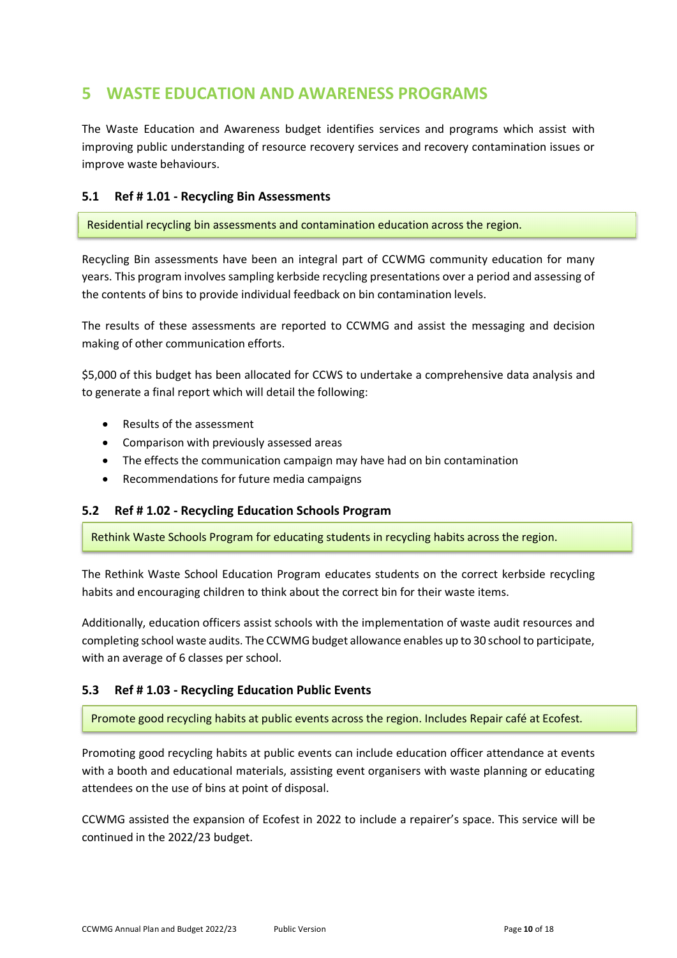# **5 WASTE EDUCATION AND AWARENESS PROGRAMS**

The Waste Education and Awareness budget identifies services and programs which assist with improving public understanding of resource recovery services and recovery contamination issues or improve waste behaviours.

#### **5.1 Ref # 1.01 - Recycling Bin Assessments**

Residential recycling bin assessments and contamination education across the region.

Recycling Bin assessments have been an integral part of CCWMG community education for many years. This program involves sampling kerbside recycling presentations over a period and assessing of the contents of bins to provide individual feedback on bin contamination levels.

The results of these assessments are reported to CCWMG and assist the messaging and decision making of other communication efforts.

\$5,000 of this budget has been allocated for CCWS to undertake a comprehensive data analysis and to generate a final report which will detail the following:

- Results of the assessment
- Comparison with previously assessed areas
- The effects the communication campaign may have had on bin contamination
- Recommendations for future media campaigns

#### **5.2 Ref # 1.02 - Recycling Education Schools Program**

Rethink Waste Schools Program for educating students in recycling habits across the region.

The Rethink Waste School Education Program educates students on the correct kerbside recycling habits and encouraging children to think about the correct bin for their waste items.

Additionally, education officers assist schools with the implementation of waste audit resources and completing school waste audits. The CCWMG budget allowance enables up to 30 school to participate, with an average of 6 classes per school.

#### **5.3 Ref # 1.03 - Recycling Education Public Events**

Promote good recycling habits at public events across the region. Includes Repair café at Ecofest.

Promoting good recycling habits at public events can include education officer attendance at events with a booth and educational materials, assisting event organisers with waste planning or educating attendees on the use of bins at point of disposal.

CCWMG assisted the expansion of Ecofest in 2022 to include a repairer's space. This service will be continued in the 2022/23 budget.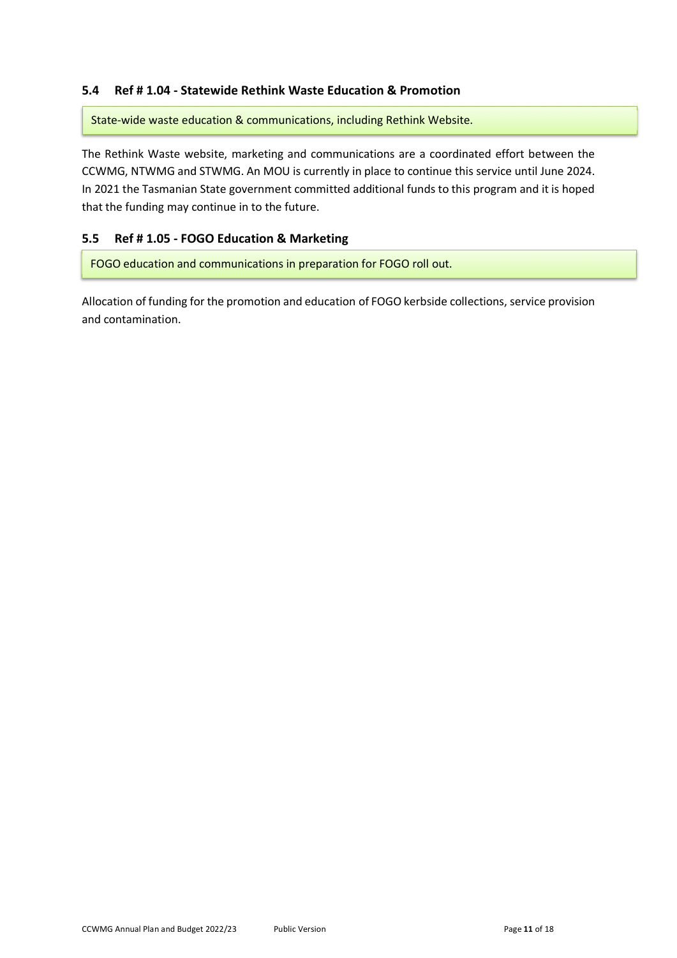#### **5.4 Ref # 1.04 - Statewide Rethink Waste Education & Promotion**

State-wide waste education & communications, including Rethink Website.

The Rethink Waste website, marketing and communications are a coordinated effort between the CCWMG, NTWMG and STWMG. An MOU is currently in place to continue this service until June 2024. In 2021 the Tasmanian State government committed additional funds to this program and it is hoped that the funding may continue in to the future.

#### **5.5 Ref # 1.05 - FOGO Education & Marketing**

FOGO education and communications in preparation for FOGO roll out.

Allocation of funding for the promotion and education of FOGO kerbside collections, service provision and contamination.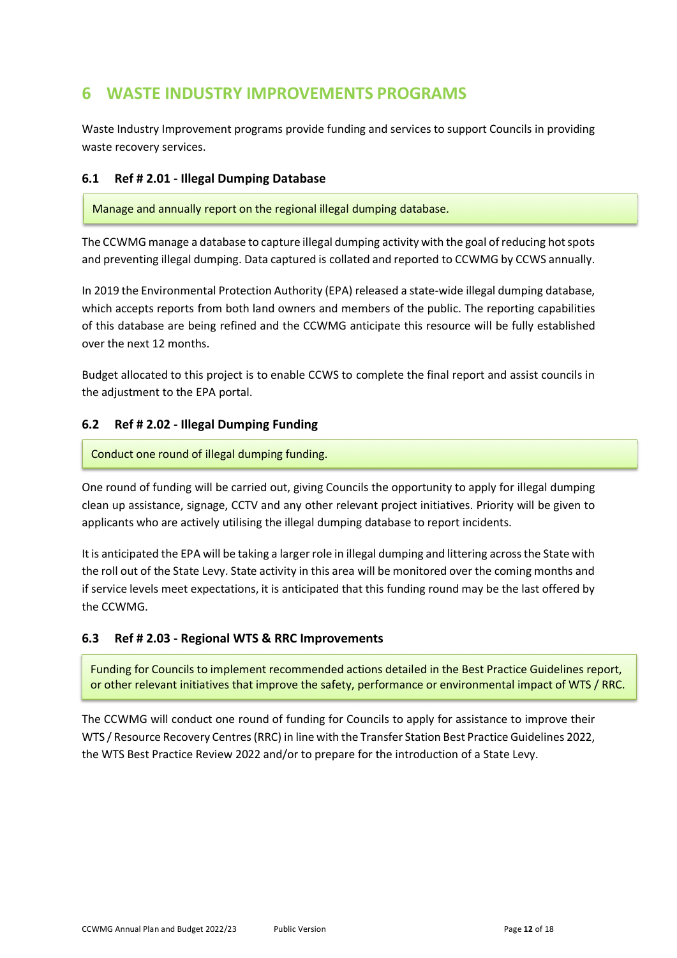# **6 WASTE INDUSTRY IMPROVEMENTS PROGRAMS**

Waste Industry Improvement programs provide funding and services to support Councils in providing waste recovery services.

#### **6.1 Ref # 2.01 - Illegal Dumping Database**

Manage and annually report on the regional illegal dumping database.

The CCWMG manage a database to capture illegal dumping activity with the goal of reducing hot spots and preventing illegal dumping. Data captured is collated and reported to CCWMG by CCWS annually.

In 2019 the Environmental Protection Authority (EPA) released a state-wide illegal dumping database, which accepts reports from both land owners and members of the public. The reporting capabilities of this database are being refined and the CCWMG anticipate this resource will be fully established over the next 12 months.

Budget allocated to this project is to enable CCWS to complete the final report and assist councils in the adjustment to the EPA portal.

### **6.2 Ref # 2.02 - Illegal Dumping Funding**

Conduct one round of illegal dumping funding.

One round of funding will be carried out, giving Councils the opportunity to apply for illegal dumping clean up assistance, signage, CCTV and any other relevant project initiatives. Priority will be given to applicants who are actively utilising the illegal dumping database to report incidents.

It is anticipated the EPA will be taking a larger role in illegal dumping and littering across the State with the roll out of the State Levy. State activity in this area will be monitored over the coming months and if service levels meet expectations, it is anticipated that this funding round may be the last offered by the CCWMG.

#### **6.3 Ref # 2.03 - Regional WTS & RRC Improvements**

Funding for Councils to implement recommended actions detailed in the Best Practice Guidelines report, or other relevant initiatives that improve the safety, performance or environmental impact of WTS / RRC.

The CCWMG will conduct one round of funding for Councils to apply for assistance to improve their WTS / Resource Recovery Centres (RRC) in line with the Transfer Station Best Practice Guidelines 2022, the WTS Best Practice Review 2022 and/or to prepare for the introduction of a State Levy.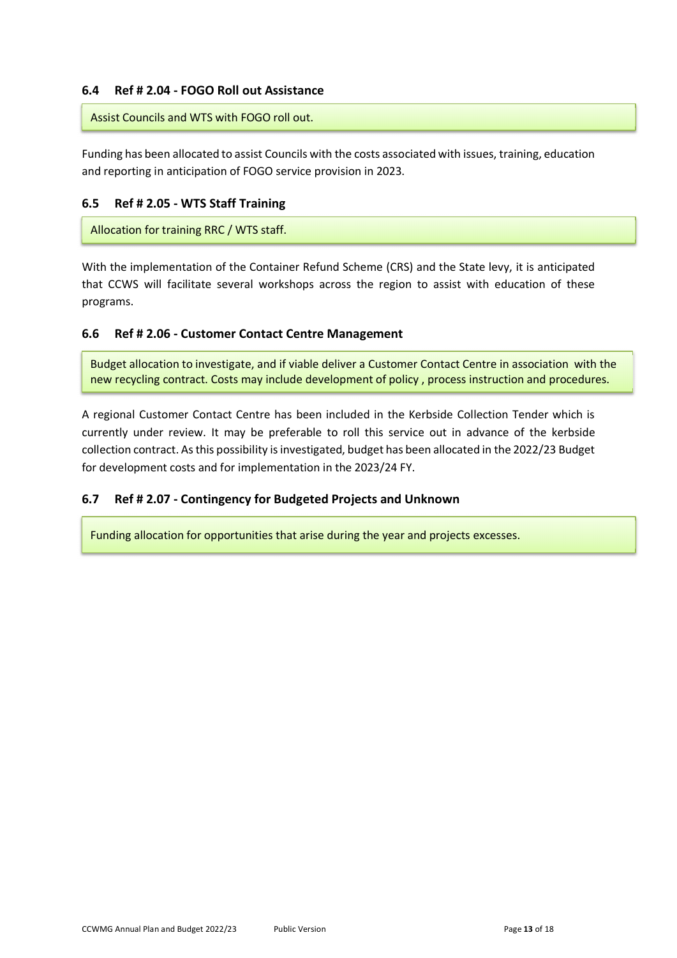#### **6.4 Ref # 2.04 - FOGO Roll out Assistance**

#### Assist Councils and WTS with FOGO roll out.

Funding has been allocated to assist Councils with the costs associated with issues, training, education and reporting in anticipation of FOGO service provision in 2023.

#### **6.5 Ref # 2.05 - WTS Staff Training**

Allocation for training RRC / WTS staff.

With the implementation of the Container Refund Scheme (CRS) and the State levy, it is anticipated that CCWS will facilitate several workshops across the region to assist with education of these programs.

#### **6.6 Ref # 2.06 - Customer Contact Centre Management**

Budget allocation to investigate, and if viable deliver a Customer Contact Centre in association with the new recycling contract. Costs may include development of policy , process instruction and procedures.

A regional Customer Contact Centre has been included in the Kerbside Collection Tender which is currently under review. It may be preferable to roll this service out in advance of the kerbside collection contract. As this possibility is investigated, budget has been allocated in the 2022/23 Budget for development costs and for implementation in the 2023/24 FY.

#### **6.7 Ref # 2.07 - Contingency for Budgeted Projects and Unknown**

Funding allocation for opportunities that arise during the year and projects excesses.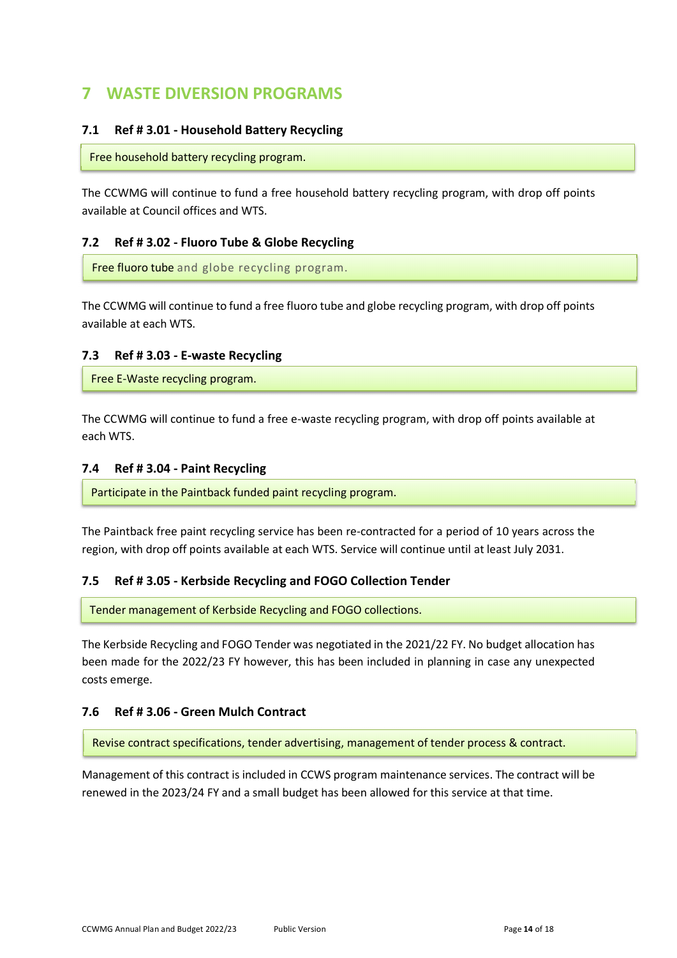# **7 WASTE DIVERSION PROGRAMS**

#### **7.1 Ref # 3.01 - Household Battery Recycling**

Free household battery recycling program.

The CCWMG will continue to fund a free household battery recycling program, with drop off points available at Council offices and WTS.

#### **7.2 Ref # 3.02 - Fluoro Tube & Globe Recycling**

Free fluoro tube and globe recycling program.

The CCWMG will continue to fund a free fluoro tube and globe recycling program, with drop off points available at each WTS.

#### **7.3 Ref # 3.03 - E-waste Recycling**

Free E-Waste recycling program.

The CCWMG will continue to fund a free e-waste recycling program, with drop off points available at each WTS.

#### **7.4 Ref # 3.04 - Paint Recycling**

Participate in the Paintback funded paint recycling program.

The Paintback free paint recycling service has been re-contracted for a period of 10 years across the region, with drop off points available at each WTS. Service will continue until at least July 2031.

#### **7.5 Ref # 3.05 - Kerbside Recycling and FOGO Collection Tender**

Tender management of Kerbside Recycling and FOGO collections.

The Kerbside Recycling and FOGO Tender was negotiated in the 2021/22 FY. No budget allocation has been made for the 2022/23 FY however, this has been included in planning in case any unexpected costs emerge.

#### **7.6 Ref # 3.06 - Green Mulch Contract**

Revise contract specifications, tender advertising, management of tender process & contract.

Management of this contract is included in CCWS program maintenance services. The contract will be renewed in the 2023/24 FY and a small budget has been allowed for this service at that time.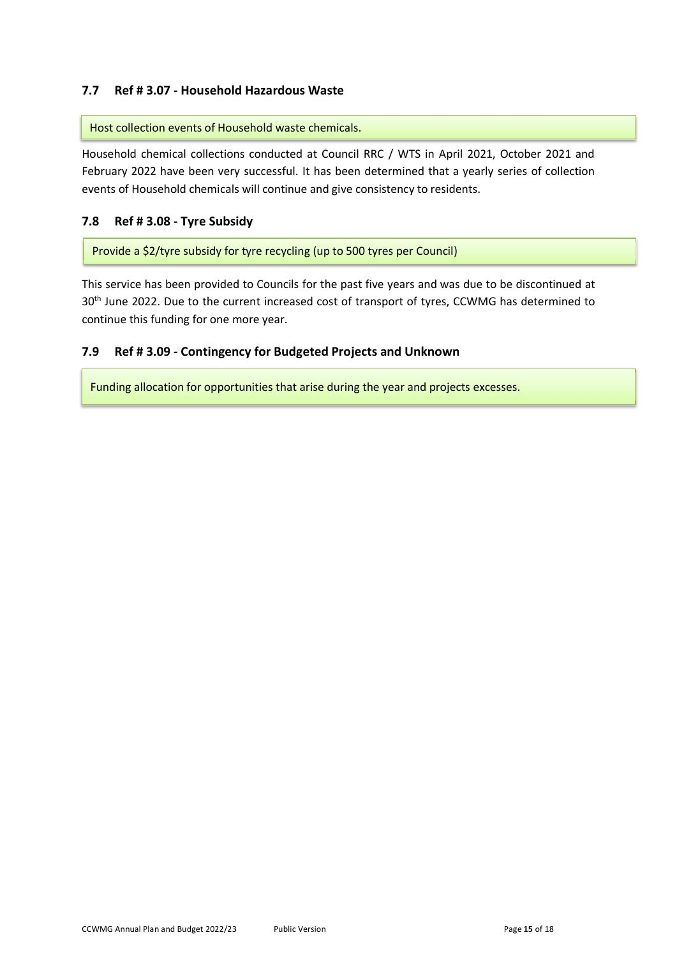#### **7.7 Ref # 3.07 - Household Hazardous Waste**

Host collection events of Household waste chemicals.

Household chemical collections conducted at Council RRC / WTS in April 2021, October 2021 and February 2022 have been very successful. It has been determined that a yearly series of collection events of Household chemicals will continue and give consistency to residents.

#### **7.8 Ref # 3.08 - Tyre Subsidy**

Provide a \$2/tyre subsidy for tyre recycling (up to 500 tyres per Council)

This service has been provided to Councils for the past five years and was due to be discontinued at 30<sup>th</sup> June 2022. Due to the current increased cost of transport of tyres, CCWMG has determined to continue this funding for one more year.

#### **7.9 Ref # 3.09 - Contingency for Budgeted Projects and Unknown**

Funding allocation for opportunities that arise during the year and projects excesses.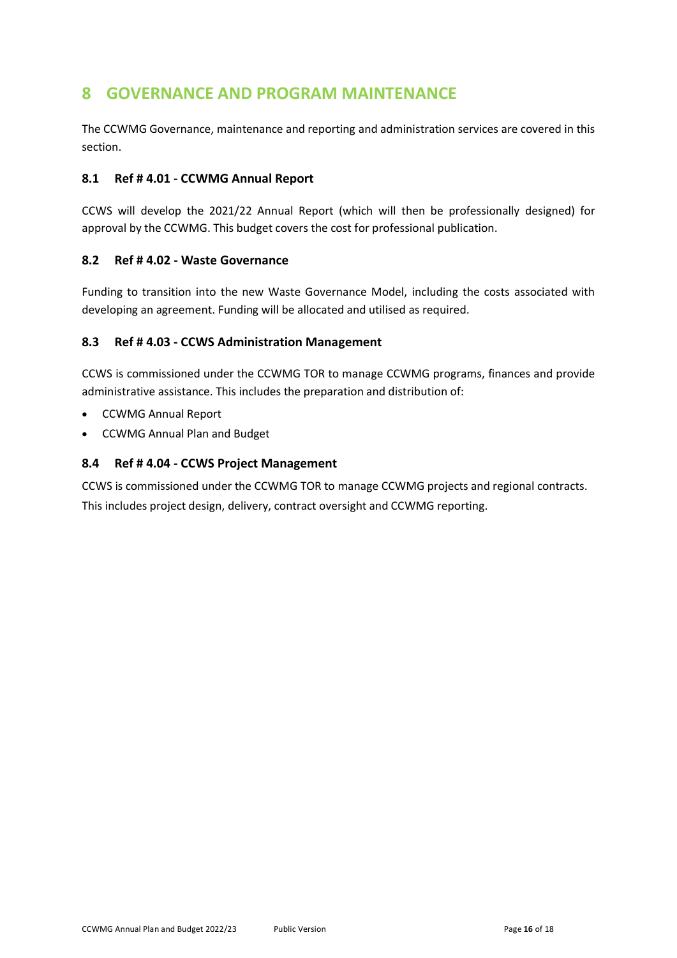# **8 GOVERNANCE AND PROGRAM MAINTENANCE**

The CCWMG Governance, maintenance and reporting and administration services are covered in this section.

#### **8.1 Ref # 4.01 - CCWMG Annual Report**

CCWS will develop the 2021/22 Annual Report (which will then be professionally designed) for approval by the CCWMG. This budget covers the cost for professional publication.

#### **8.2 Ref # 4.02 - Waste Governance**

Funding to transition into the new Waste Governance Model, including the costs associated with developing an agreement. Funding will be allocated and utilised as required.

#### **8.3 Ref # 4.03 - CCWS Administration Management**

CCWS is commissioned under the CCWMG TOR to manage CCWMG programs, finances and provide administrative assistance. This includes the preparation and distribution of:

- CCWMG Annual Report
- CCWMG Annual Plan and Budget

#### **8.4 Ref # 4.04 - CCWS Project Management**

CCWS is commissioned under the CCWMG TOR to manage CCWMG projects and regional contracts. This includes project design, delivery, contract oversight and CCWMG reporting.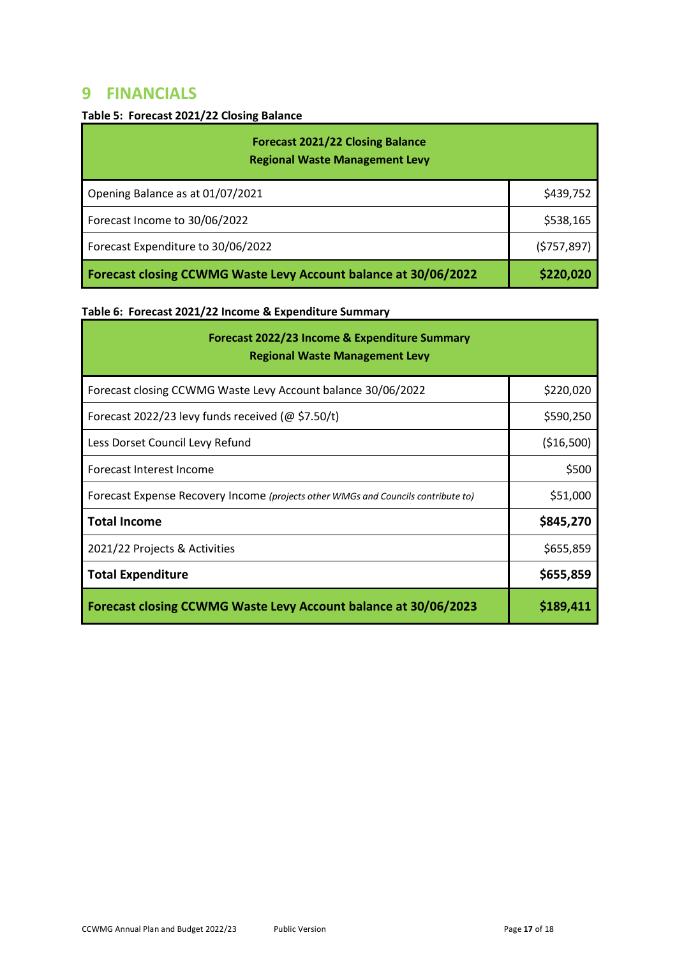### **9 FINANCIALS**

### **Table 5: Forecast 2021/22 Closing Balance**

| <b>Forecast 2021/22 Closing Balance</b><br><b>Regional Waste Management Levy</b> |             |
|----------------------------------------------------------------------------------|-------------|
| Opening Balance as at 01/07/2021                                                 | \$439,752   |
| Forecast Income to 30/06/2022                                                    | \$538,165   |
| Forecast Expenditure to 30/06/2022                                               | (5757, 897) |
| Forecast closing CCWMG Waste Levy Account balance at 30/06/2022                  | \$220,020   |

### **Table 6: Forecast 2021/22 Income & Expenditure Summary**

| Forecast 2022/23 Income & Expenditure Summary<br><b>Regional Waste Management Levy</b> |             |
|----------------------------------------------------------------------------------------|-------------|
| Forecast closing CCWMG Waste Levy Account balance 30/06/2022                           | \$220,020   |
| Forecast 2022/23 levy funds received ( $@$ \$7.50/t)                                   | \$590,250   |
| Less Dorset Council Levy Refund                                                        | ( \$16,500) |
| Forecast Interest Income                                                               | \$500       |
| Forecast Expense Recovery Income (projects other WMGs and Councils contribute to)      | \$51,000    |
| <b>Total Income</b>                                                                    | \$845,270   |
| 2021/22 Projects & Activities                                                          | \$655,859   |
| <b>Total Expenditure</b>                                                               | \$655,859   |
| Forecast closing CCWMG Waste Levy Account balance at 30/06/2023                        | \$189,411   |